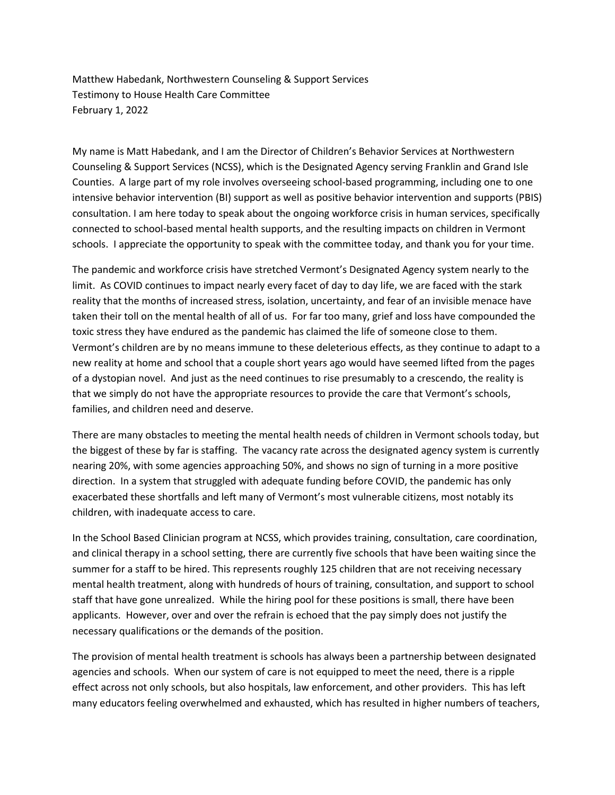Matthew Habedank, Northwestern Counseling & Support Services Testimony to House Health Care Committee February 1, 2022

My name is Matt Habedank, and I am the Director of Children's Behavior Services at Northwestern Counseling & Support Services (NCSS), which is the Designated Agency serving Franklin and Grand Isle Counties. A large part of my role involves overseeing school-based programming, including one to one intensive behavior intervention (BI) support as well as positive behavior intervention and supports (PBIS) consultation. I am here today to speak about the ongoing workforce crisis in human services, specifically connected to school-based mental health supports, and the resulting impacts on children in Vermont schools. I appreciate the opportunity to speak with the committee today, and thank you for your time.

The pandemic and workforce crisis have stretched Vermont's Designated Agency system nearly to the limit. As COVID continues to impact nearly every facet of day to day life, we are faced with the stark reality that the months of increased stress, isolation, uncertainty, and fear of an invisible menace have taken their toll on the mental health of all of us. For far too many, grief and loss have compounded the toxic stress they have endured as the pandemic has claimed the life of someone close to them. Vermont's children are by no means immune to these deleterious effects, as they continue to adapt to a new reality at home and school that a couple short years ago would have seemed lifted from the pages of a dystopian novel. And just as the need continues to rise presumably to a crescendo, the reality is that we simply do not have the appropriate resources to provide the care that Vermont's schools, families, and children need and deserve.

There are many obstacles to meeting the mental health needs of children in Vermont schools today, but the biggest of these by far is staffing. The vacancy rate across the designated agency system is currently nearing 20%, with some agencies approaching 50%, and shows no sign of turning in a more positive direction. In a system that struggled with adequate funding before COVID, the pandemic has only exacerbated these shortfalls and left many of Vermont's most vulnerable citizens, most notably its children, with inadequate access to care.

In the School Based Clinician program at NCSS, which provides training, consultation, care coordination, and clinical therapy in a school setting, there are currently five schools that have been waiting since the summer for a staff to be hired. This represents roughly 125 children that are not receiving necessary mental health treatment, along with hundreds of hours of training, consultation, and support to school staff that have gone unrealized. While the hiring pool for these positions is small, there have been applicants. However, over and over the refrain is echoed that the pay simply does not justify the necessary qualifications or the demands of the position.

The provision of mental health treatment is schools has always been a partnership between designated agencies and schools. When our system of care is not equipped to meet the need, there is a ripple effect across not only schools, but also hospitals, law enforcement, and other providers. This has left many educators feeling overwhelmed and exhausted, which has resulted in higher numbers of teachers,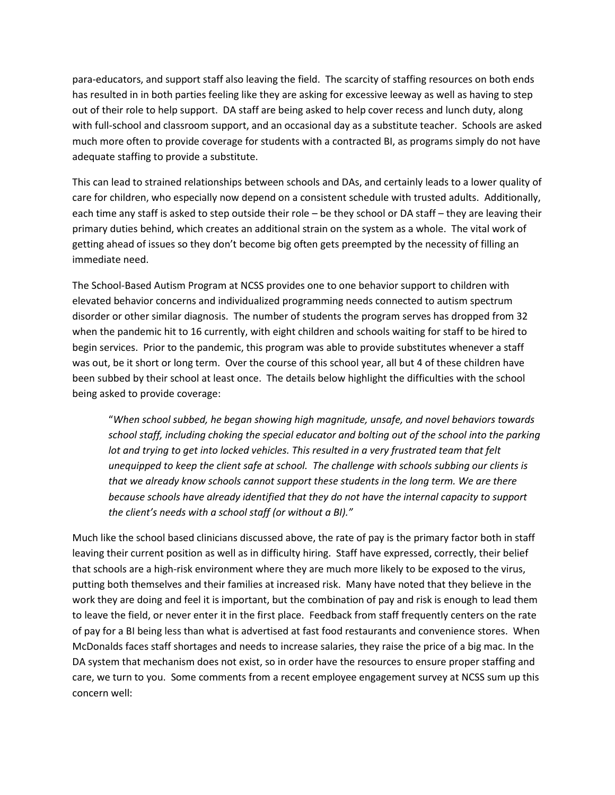para-educators, and support staff also leaving the field. The scarcity of staffing resources on both ends has resulted in in both parties feeling like they are asking for excessive leeway as well as having to step out of their role to help support. DA staff are being asked to help cover recess and lunch duty, along with full-school and classroom support, and an occasional day as a substitute teacher. Schools are asked much more often to provide coverage for students with a contracted BI, as programs simply do not have adequate staffing to provide a substitute.

This can lead to strained relationships between schools and DAs, and certainly leads to a lower quality of care for children, who especially now depend on a consistent schedule with trusted adults. Additionally, each time any staff is asked to step outside their role – be they school or DA staff – they are leaving their primary duties behind, which creates an additional strain on the system as a whole. The vital work of getting ahead of issues so they don't become big often gets preempted by the necessity of filling an immediate need.

The School-Based Autism Program at NCSS provides one to one behavior support to children with elevated behavior concerns and individualized programming needs connected to autism spectrum disorder or other similar diagnosis. The number of students the program serves has dropped from 32 when the pandemic hit to 16 currently, with eight children and schools waiting for staff to be hired to begin services. Prior to the pandemic, this program was able to provide substitutes whenever a staff was out, be it short or long term. Over the course of this school year, all but 4 of these children have been subbed by their school at least once. The details below highlight the difficulties with the school being asked to provide coverage:

"*When school subbed, he began showing high magnitude, unsafe, and novel behaviors towards school staff, including choking the special educator and bolting out of the school into the parking*  lot and trying to get into locked vehicles. This resulted in a very frustrated team that felt *unequipped to keep the client safe at school. The challenge with schools subbing our clients is that we already know schools cannot support these students in the long term. We are there because schools have already identified that they do not have the internal capacity to support the client's needs with a school staff (or without a BI)."*

Much like the school based clinicians discussed above, the rate of pay is the primary factor both in staff leaving their current position as well as in difficulty hiring. Staff have expressed, correctly, their belief that schools are a high-risk environment where they are much more likely to be exposed to the virus, putting both themselves and their families at increased risk. Many have noted that they believe in the work they are doing and feel it is important, but the combination of pay and risk is enough to lead them to leave the field, or never enter it in the first place. Feedback from staff frequently centers on the rate of pay for a BI being less than what is advertised at fast food restaurants and convenience stores. When McDonalds faces staff shortages and needs to increase salaries, they raise the price of a big mac. In the DA system that mechanism does not exist, so in order have the resources to ensure proper staffing and care, we turn to you. Some comments from a recent employee engagement survey at NCSS sum up this concern well: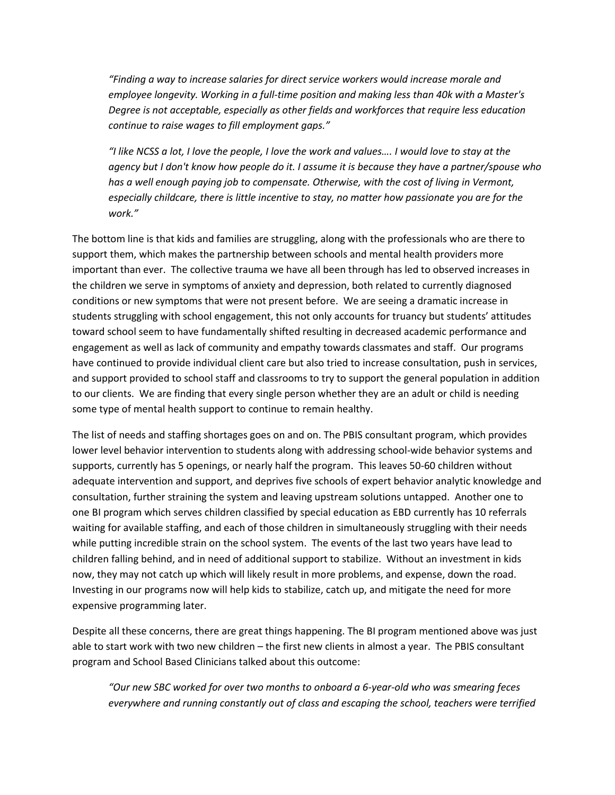*"Finding a way to increase salaries for direct service workers would increase morale and employee longevity. Working in a full-time position and making less than 40k with a Master's Degree is not acceptable, especially as other fields and workforces that require less education continue to raise wages to fill employment gaps."*

*"I like NCSS a lot, I love the people, I love the work and values…. I would love to stay at the agency but I don't know how people do it. I assume it is because they have a partner/spouse who has a well enough paying job to compensate. Otherwise, with the cost of living in Vermont, especially childcare, there is little incentive to stay, no matter how passionate you are for the work."*

The bottom line is that kids and families are struggling, along with the professionals who are there to support them, which makes the partnership between schools and mental health providers more important than ever. The collective trauma we have all been through has led to observed increases in the children we serve in symptoms of anxiety and depression, both related to currently diagnosed conditions or new symptoms that were not present before. We are seeing a dramatic increase in students struggling with school engagement, this not only accounts for truancy but students' attitudes toward school seem to have fundamentally shifted resulting in decreased academic performance and engagement as well as lack of community and empathy towards classmates and staff. Our programs have continued to provide individual client care but also tried to increase consultation, push in services, and support provided to school staff and classrooms to try to support the general population in addition to our clients. We are finding that every single person whether they are an adult or child is needing some type of mental health support to continue to remain healthy.

The list of needs and staffing shortages goes on and on. The PBIS consultant program, which provides lower level behavior intervention to students along with addressing school-wide behavior systems and supports, currently has 5 openings, or nearly half the program. This leaves 50-60 children without adequate intervention and support, and deprives five schools of expert behavior analytic knowledge and consultation, further straining the system and leaving upstream solutions untapped. Another one to one BI program which serves children classified by special education as EBD currently has 10 referrals waiting for available staffing, and each of those children in simultaneously struggling with their needs while putting incredible strain on the school system. The events of the last two years have lead to children falling behind, and in need of additional support to stabilize. Without an investment in kids now, they may not catch up which will likely result in more problems, and expense, down the road. Investing in our programs now will help kids to stabilize, catch up, and mitigate the need for more expensive programming later.

Despite all these concerns, there are great things happening. The BI program mentioned above was just able to start work with two new children – the first new clients in almost a year. The PBIS consultant program and School Based Clinicians talked about this outcome:

*"Our new SBC worked for over two months to onboard a 6-year-old who was smearing feces everywhere and running constantly out of class and escaping the school, teachers were terrified*